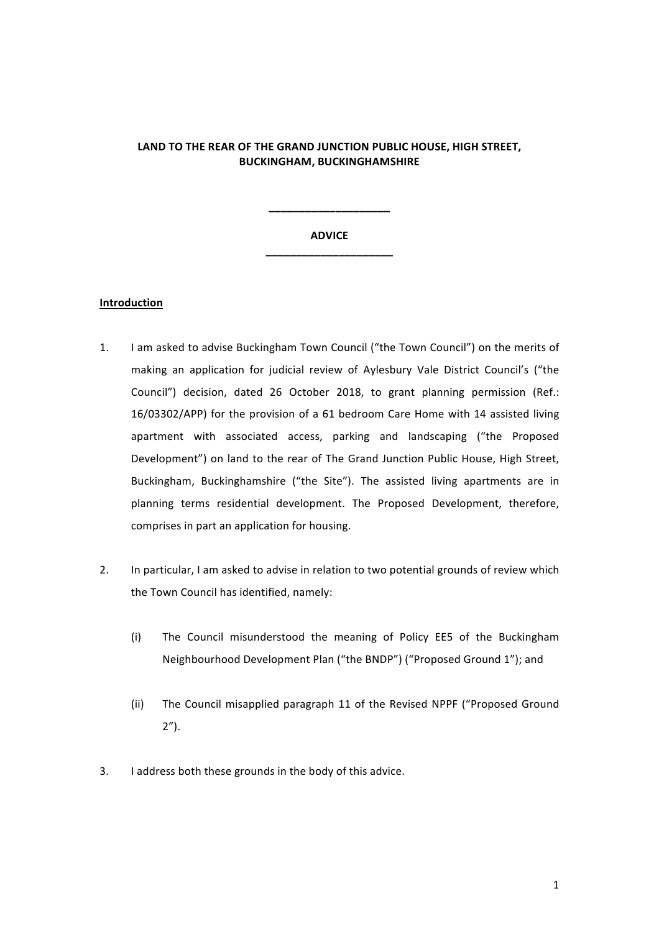# **LAND TO THE REAR OF THE GRAND JUNCTION PUBLIC HOUSE, HIGH STREET, BUCKINGHAM, BUCKINGHAMSHIRE**

# **ADVICE \_\_\_\_\_\_\_\_\_\_\_\_\_\_\_\_\_\_\_\_\_**

**\_\_\_\_\_\_\_\_\_\_\_\_\_\_\_\_\_\_\_\_**

#### **Introduction**

- 1. I am asked to advise Buckingham Town Council ("the Town Council") on the merits of making an application for judicial review of Aylesbury Vale District Council's ("the Council") decision, dated 26 October 2018, to grant planning permission (Ref.: 16/03302/APP) for the provision of a 61 bedroom Care Home with 14 assisted living apartment with associated access, parking and landscaping ("the Proposed Development") on land to the rear of The Grand Junction Public House, High Street, Buckingham, Buckinghamshire ("the Site"). The assisted living apartments are in planning terms residential development. The Proposed Development, therefore, comprises in part an application for housing.
- 2. In particular, I am asked to advise in relation to two potential grounds of review which the Town Council has identified, namely:
	- (i) The Council misunderstood the meaning of Policy EE5 of the Buckingham Neighbourhood Development Plan ("the BNDP") ("Proposed Ground 1"); and
	- (ii) The Council misapplied paragraph 11 of the Revised NPPF ("Proposed Ground 2").
- 3. I address both these grounds in the body of this advice.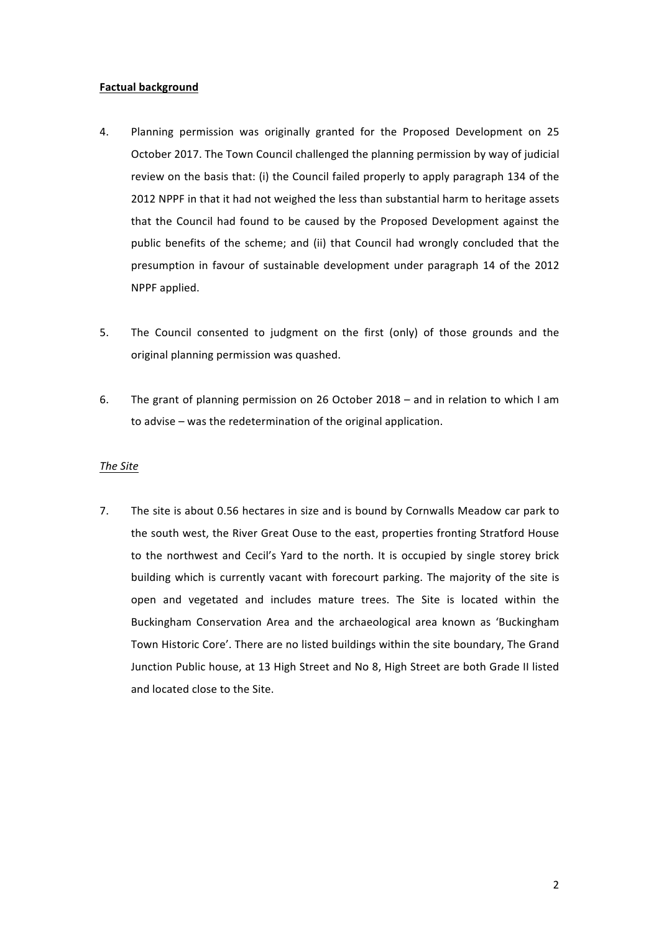## **Factual background**

- 4. Planning permission was originally granted for the Proposed Development on 25 October 2017. The Town Council challenged the planning permission by way of judicial review on the basis that: (i) the Council failed properly to apply paragraph 134 of the 2012 NPPF in that it had not weighed the less than substantial harm to heritage assets that the Council had found to be caused by the Proposed Development against the public benefits of the scheme; and (ii) that Council had wrongly concluded that the presumption in favour of sustainable development under paragraph 14 of the 2012 NPPF applied.
- 5. The Council consented to judgment on the first (only) of those grounds and the original planning permission was quashed.
- 6. The grant of planning permission on 26 October 2018 and in relation to which I am to advise – was the redetermination of the original application.

## *The Site*

7. The site is about 0.56 hectares in size and is bound by Cornwalls Meadow car park to the south west, the River Great Ouse to the east, properties fronting Stratford House to the northwest and Cecil's Yard to the north. It is occupied by single storey brick building which is currently vacant with forecourt parking. The majority of the site is open and vegetated and includes mature trees. The Site is located within the Buckingham Conservation Area and the archaeological area known as 'Buckingham Town Historic Core'. There are no listed buildings within the site boundary, The Grand Junction Public house, at 13 High Street and No 8, High Street are both Grade II listed and located close to the Site.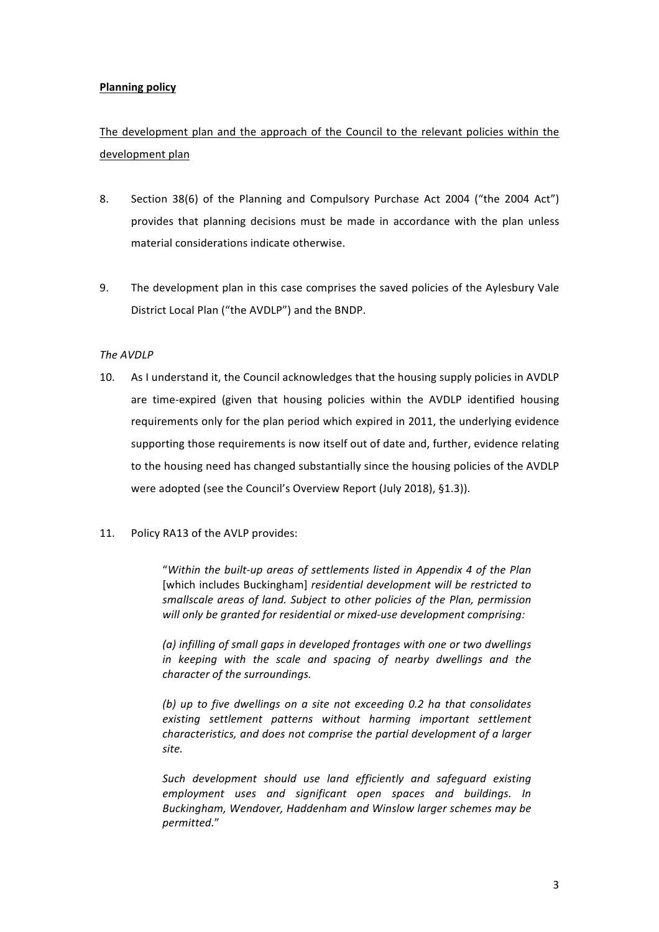# **Planning policy**

# The development plan and the approach of the Council to the relevant policies within the development plan

- 8. Section 38(6) of the Planning and Compulsory Purchase Act 2004 ("the 2004 Act") provides that planning decisions must be made in accordance with the plan unless material considerations indicate otherwise.
- 9. The development plan in this case comprises the saved policies of the Aylesbury Vale District Local Plan ("the AVDLP") and the BNDP.

## *The AVDLP*

- 10. As I understand it, the Council acknowledges that the housing supply policies in AVDLP are time-expired (given that housing policies within the AVDLP identified housing requirements only for the plan period which expired in 2011, the underlying evidence supporting those requirements is now itself out of date and, further, evidence relating to the housing need has changed substantially since the housing policies of the AVDLP were adopted (see the Council's Overview Report (July 2018), §1.3)).
- 11. Policy RA13 of the AVLP provides:

"Within the built-up areas of settlements listed in Appendix 4 of the Plan [which includes Buckingham] residential development will be restricted to *smallscale areas of land. Subject to other policies of the Plan, permission*  will only be granted for residential or mixed-use development comprising:

(a) infilling of small gaps in developed frontages with one or two dwellings *in* keeping with the scale and spacing of nearby dwellings and the *character of the surroundings.*

*(b)* up to five dwellings on a site not exceeding 0.2 ha that consolidates *existing settlement patterns without harming important settlement characteristics, and does not comprise the partial development of a larger site.*

Such development should use land efficiently and safeguard existing employment uses and significant open spaces and buildings. In Buckingham, Wendover, Haddenham and Winslow larger schemes may be *permitted.*"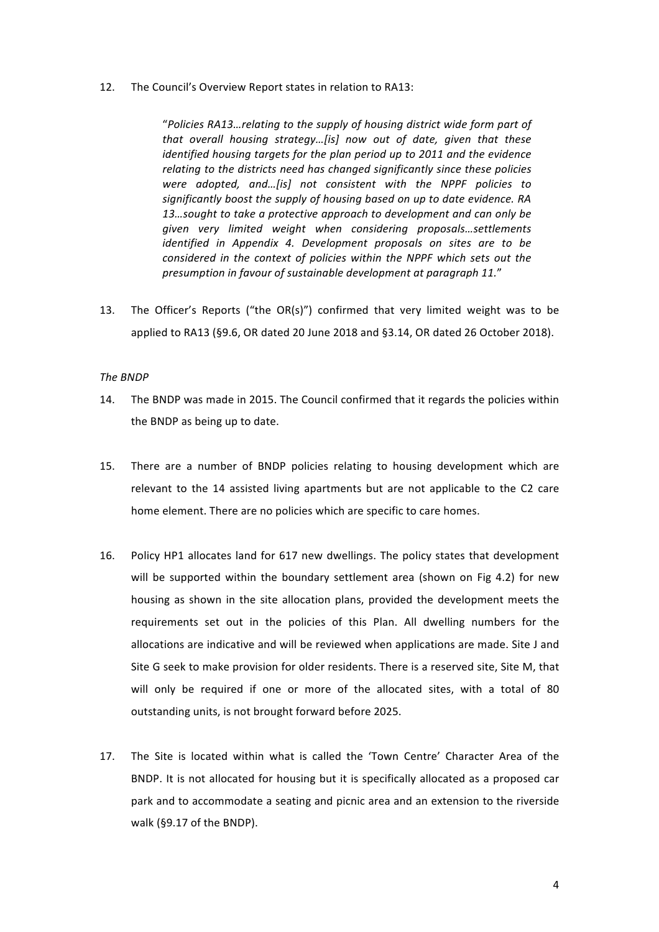12. The Council's Overview Report states in relation to RA13:

"Policies RA13...relating to the supply of housing district wide form part of *that* overall housing strategy...[is] now out of date, given that these *identified housing targets for the plan period up to 2011 and the evidence* relating to the districts need has changed significantly since these policies were adopted, and...[is] not consistent with the NPPF policies to significantly boost the supply of housing based on up to date evidence. RA 13…sought to take a protective approach to development and can only be *given very limited weight when considering proposals…settlements identified in Appendix 4. Development proposals on sites are to be considered in the context of policies within the NPPF which sets out the* presumption in favour of sustainable development at paragraph 11."

13. The Officer's Reports ("the OR(s)") confirmed that very limited weight was to be applied to RA13 (§9.6, OR dated 20 June 2018 and §3.14, OR dated 26 October 2018).

## *The BNDP*

- 14. The BNDP was made in 2015. The Council confirmed that it regards the policies within the BNDP as being up to date.
- 15. There are a number of BNDP policies relating to housing development which are relevant to the 14 assisted living apartments but are not applicable to the C2 care home element. There are no policies which are specific to care homes.
- 16. Policy HP1 allocates land for 617 new dwellings. The policy states that development will be supported within the boundary settlement area (shown on Fig 4.2) for new housing as shown in the site allocation plans, provided the development meets the requirements set out in the policies of this Plan. All dwelling numbers for the allocations are indicative and will be reviewed when applications are made. Site J and Site G seek to make provision for older residents. There is a reserved site, Site M, that will only be required if one or more of the allocated sites, with a total of 80 outstanding units, is not brought forward before 2025.
- 17. The Site is located within what is called the 'Town Centre' Character Area of the BNDP. It is not allocated for housing but it is specifically allocated as a proposed car park and to accommodate a seating and picnic area and an extension to the riverside walk (§9.17 of the BNDP).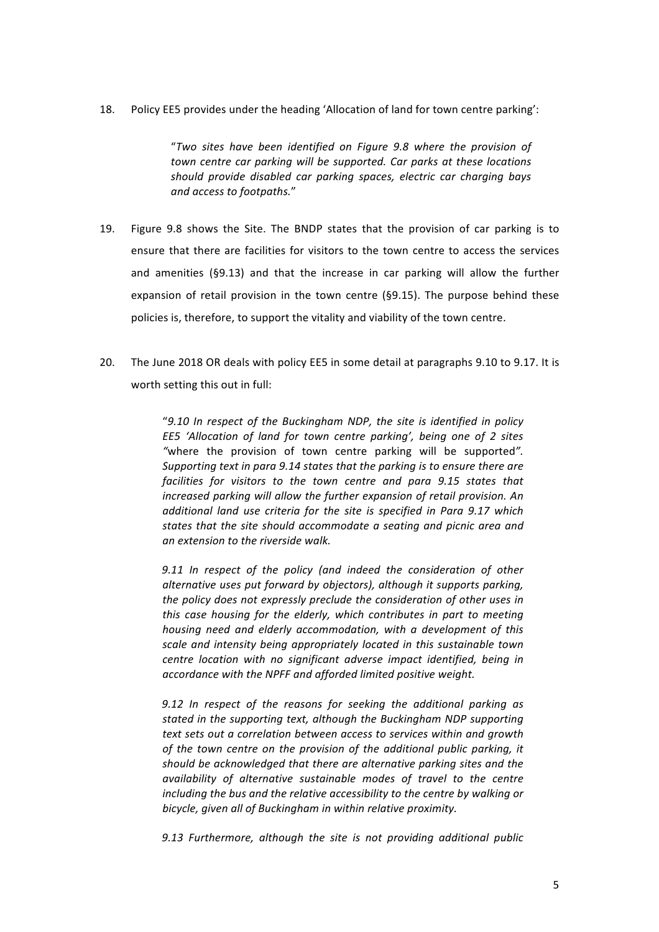18. Policy EE5 provides under the heading 'Allocation of land for town centre parking':

"*Two sites have been identified on Figure 9.8 where the provision of town centre car parking will be supported. Car parks at these locations* should provide disabled car parking spaces, electric car charging bays *and access to footpaths.*"

- 19. Figure 9.8 shows the Site. The BNDP states that the provision of car parking is to ensure that there are facilities for visitors to the town centre to access the services and amenities  $(S9.13)$  and that the increase in car parking will allow the further expansion of retail provision in the town centre  $(S9.15)$ . The purpose behind these policies is, therefore, to support the vitality and viability of the town centre.
- 20. The June 2018 OR deals with policy EE5 in some detail at paragraphs 9.10 to 9.17. It is worth setting this out in full:

"9.10 In respect of the Buckingham NDP, the site is identified in policy *EE5* 'Allocation of land for town centre parking', being one of 2 sites "where the provision of town centre parking will be supported". *Supporting text in para 9.14 states that the parking is to ensure there are facilities for visitors to the town centre and para 9.15 states that increased parking will allow the further expansion of retail provision. An* additional land use criteria for the site is specified in Para 9.17 which states that the site should accommodate a seating and picnic area and *an* extension to the riverside walk.

9.11 In respect of the policy (and indeed the consideration of other alternative uses put forward by objectors), although it supports parking, *the policy does not expressly preclude the consideration of other uses in this* case housing for the elderly, which contributes in part to meeting *housing need and elderly accommodation, with a development of this* scale and intensity being appropriately located in this sustainable town *centre location with no significant adverse impact identified, being in* accordance with the NPFF and afforded limited positive weight.

9.12 In respect of the reasons for seeking the additional parking as stated in the supporting text, although the Buckingham NDP supporting *text sets out a correlation between access to services within and growth* of the town centre on the provision of the additional public parking, it *should* be acknowledged that there are alternative parking sites and the *availability* of alternative sustainable modes of travel to the centre *including* the bus and the relative accessibility to the centre by walking or bicycle, given all of Buckingham in within relative proximity.

9.13 Furthermore, although the site is not providing additional public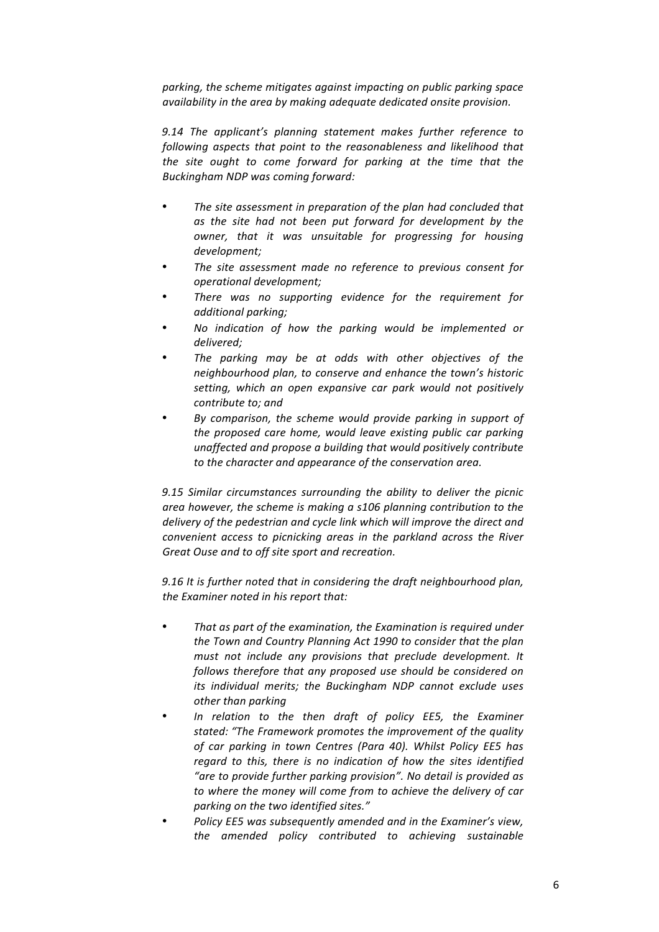parking, the scheme mitigates against impacting on public parking space availability in the area by making adequate dedicated onsite provision.

9.14 The applicant's planning statement makes further reference to *following aspects that point to the reasonableness and likelihood that the* site ought to come forward for parking at the time that the *Buckingham NDP was coming forward:*

- The site assessment in preparation of the plan had concluded that *as the site had not been put forward for development by the owner, that it was unsuitable for progressing for housing development;*
- The site assessment made no reference to previous consent for *operational development;*
- There was no supporting evidence for the requirement for *additional parking;*
- No indication of how the parking would be implemented or *delivered;*
- The parking may be at odds with other objectives of the *neighbourhood plan, to conserve and enhance the town's historic setting, which an open expansive car park would not positively* contribute to; and
- By comparison, the scheme would provide parking in support of the proposed care home, would leave existing public car parking *unaffected and propose a building that would positively contribute to the character and appearance of the conservation area.*

*9.15 Similar circumstances surrounding the ability to deliver the picnic*  area however, the scheme is making a s106 planning contribution to the delivery of the pedestrian and cycle link which will improve the direct and *convenient access to picnicking areas in the parkland across the River*  Great Ouse and to off site sport and recreation.

9.16 It is further noted that in considering the draft neighbourhood plan, *the Examiner noted in his report that:* 

- That as part of the examination, the Examination is required under the Town and Country Planning Act 1990 to consider that the plan *must not include any provisions that preclude development. It* follows therefore that any proposed use should be considered on *its* individual merits; the Buckingham NDP cannot exclude uses *other than parking*
- In relation to the then draft of policy EE5, the Examiner stated: "The Framework promotes the improvement of the quality of car parking in town Centres (Para 40). Whilst Policy EE5 has regard to this, there is no indication of how the sites identified "are to provide further parking provision". No detail is provided as to where the money will come from to achieve the delivery of car parking on the two identified sites."
- Policy EE5 was subsequently amended and in the Examiner's view, *the amended policy contributed to achieving sustainable*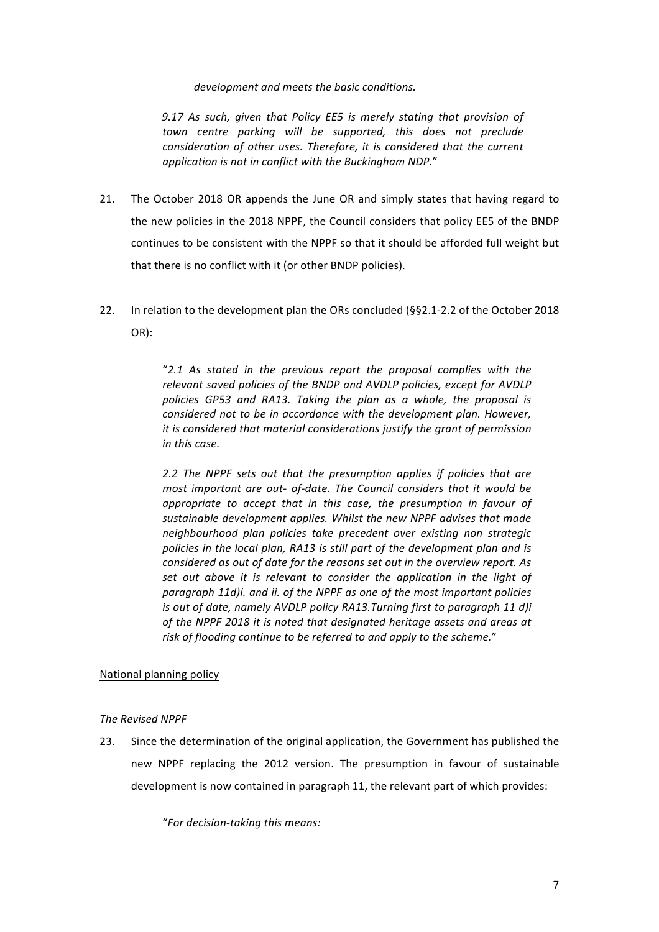development and meets the basic conditions.

9.17 As such, given that Policy EE5 is merely stating that provision of town centre parking will be supported, this does not preclude *consideration of other uses. Therefore, it is considered that the current* application is not in conflict with the Buckingham NDP."

- 21. The October 2018 OR appends the June OR and simply states that having regard to the new policies in the 2018 NPPF, the Council considers that policy EE5 of the BNDP continues to be consistent with the NPPF so that it should be afforded full weight but that there is no conflict with it (or other BNDP policies).
- 22. In relation to the development plan the ORs concluded  $(§§2.1-2.2$  of the October 2018 OR):

"*2.1 As stated in the previous report the proposal complies with the*  relevant saved policies of the BNDP and AVDLP policies, except for AVDLP policies GP53 and RA13. Taking the plan as a whole, the proposal is *considered not to be in accordance with the development plan. However, it is considered that material considerations justify the grant of permission in this case.* 

*2.2* The NPPF sets out that the presumption applies if policies that are *most important are out- of-date. The Council considers that it would be appropriate to accept that in this case, the presumption in favour of* sustainable development applies. Whilst the new NPPF advises that made *neighbourhood plan policies take precedent over existing non strategic*  policies in the local plan, RA13 is still part of the development plan and is *considered as out of date for the reasons set out in the overview report. As* set out above it is relevant to consider the application in the light of *paragraph 11d)i. and ii. of the NPPF as one of the most important policies is* out of date, namely AVDLP policy RA13.Turning first to paragraph 11 d)i of the NPPF 2018 it is noted that designated heritage assets and areas at risk of flooding continue to be referred to and apply to the scheme."

# National planning policy

*The Revised NPPF*

23. Since the determination of the original application, the Government has published the new NPPF replacing the 2012 version. The presumption in favour of sustainable development is now contained in paragraph 11, the relevant part of which provides:

"*For decision-taking this means:*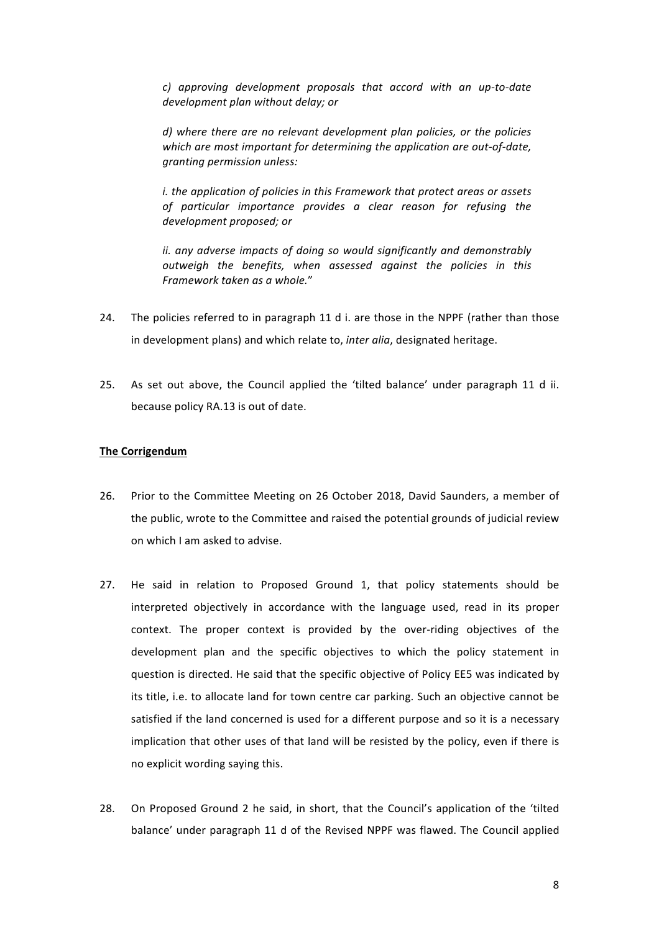*c) approving development proposals that accord with an up-to-date*  development plan without delay; or

d) where there are no relevant development plan policies, or the policies which are most important for determining the application are out-of-date, *granting permission unless:* 

*i.* the application of policies in this Framework that protect areas or assets of particular importance provides a clear reason for refusing the development proposed; or

*ii.* any adverse impacts of doing so would significantly and demonstrably *outweigh the benefits, when assessed against the policies in this Framework taken as a whole.*"

- 24. The policies referred to in paragraph 11 d i. are those in the NPPF (rather than those in development plans) and which relate to, *inter alia*, designated heritage.
- 25. As set out above, the Council applied the 'tilted balance' under paragraph 11 d ii. because policy RA.13 is out of date.

## **The Corrigendum**

- 26. Prior to the Committee Meeting on 26 October 2018, David Saunders, a member of the public, wrote to the Committee and raised the potential grounds of judicial review on which I am asked to advise.
- 27. He said in relation to Proposed Ground 1, that policy statements should be interpreted objectively in accordance with the language used, read in its proper context. The proper context is provided by the over-riding objectives of the development plan and the specific objectives to which the policy statement in question is directed. He said that the specific objective of Policy EE5 was indicated by its title, i.e. to allocate land for town centre car parking. Such an objective cannot be satisfied if the land concerned is used for a different purpose and so it is a necessary implication that other uses of that land will be resisted by the policy, even if there is no explicit wording saying this.
- 28. On Proposed Ground 2 he said, in short, that the Council's application of the 'tilted balance' under paragraph 11 d of the Revised NPPF was flawed. The Council applied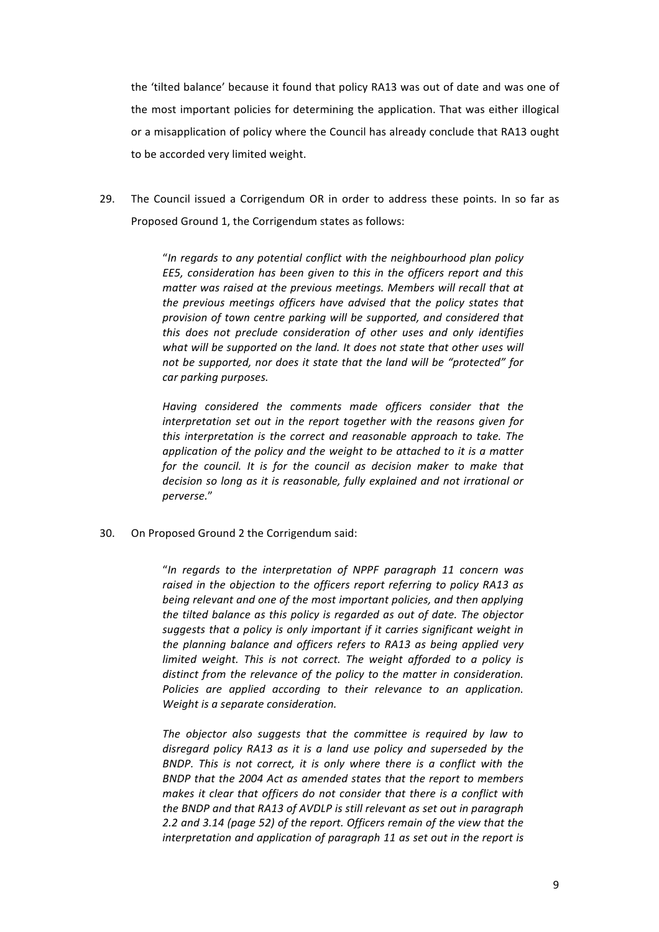the 'tilted balance' because it found that policy RA13 was out of date and was one of the most important policies for determining the application. That was either illogical or a misapplication of policy where the Council has already conclude that RA13 ought to be accorded very limited weight.

29. The Council issued a Corrigendum OR in order to address these points. In so far as Proposed Ground 1, the Corrigendum states as follows:

> "In regards to any potential conflict with the neighbourhood plan policy EE5, consideration has been given to this in the officers report and this matter was raised at the previous meetings. Members will recall that at the previous meetings officers have advised that the policy states that provision of town centre parking will be supported, and considered that this does not preclude consideration of other uses and only identifies what will be supported on the land. It does not state that other uses will *not be supported, nor does it state that the land will be "protected" for car parking purposes.*

> Having considered the comments made officers consider that the *interpretation set out in the report together with the reasons given for this interpretation is the correct and reasonable approach to take. The* application of the policy and the weight to be attached to it is a matter for the council. It is for the council as decision maker to make that decision so long as it is reasonable, fully explained and not irrational or *perverse.*"

30. On Proposed Ground 2 the Corrigendum said:

"*In regards to the interpretation of NPPF paragraph 11 concern was*  raised in the objection to the officers report referring to policy RA13 as *being relevant and one of the most important policies, and then applying the tilted balance as this policy is regarded as out of date. The objector* suggests that a policy is only important if it carries significant weight in *the planning balance and officers refers to RA13 as being applied very limited* weight. This is not correct. The weight afforded to a policy is distinct from the relevance of the policy to the matter in consideration. Policies are applied according to their relevance to an application. *Weight is a separate consideration.* 

The objector also suggests that the committee is required by law to disregard policy RA13 as it is a land use policy and superseded by the *BNDP.* This is not correct, it is only where there is a conflict with the *BNDP* that the 2004 Act as amended states that the report to members *makes it clear that officers do not consider that there is a conflict with the BNDP and that RA13 of AVDLP is still relevant as set out in paragraph 2.2* and 3.14 (page 52) of the report. Officers remain of the view that the *interpretation and application of paragraph 11 as set out in the report is*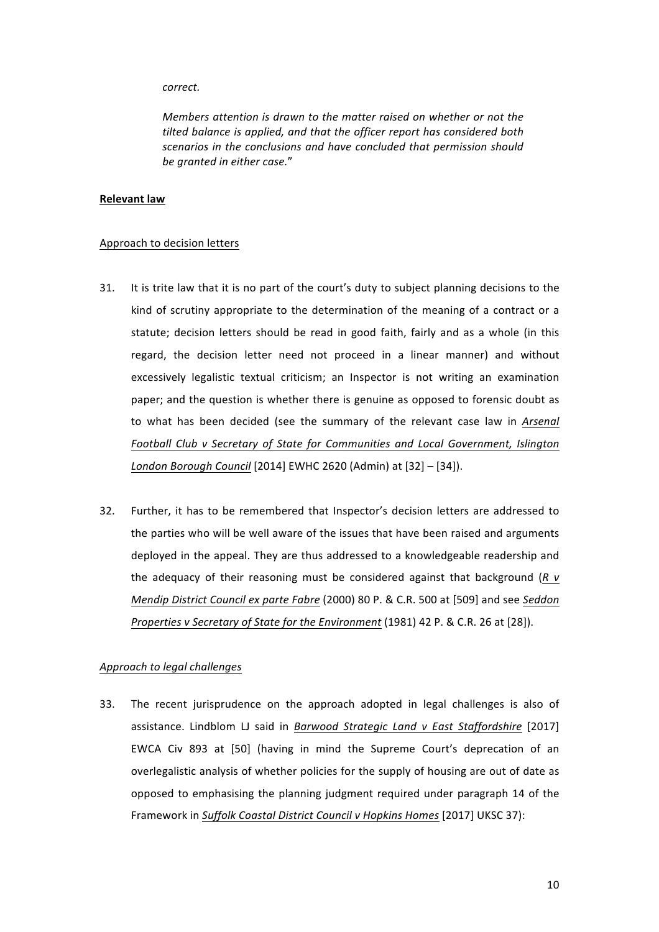#### *correct.*

*Members attention is drawn to the matter raised on whether or not the* tilted balance is applied, and that the officer report has considered both scenarios in the conclusions and have concluded that permission should *be granted in either case.*"

#### **Relevant law**

## Approach to decision letters

- 31. It is trite law that it is no part of the court's duty to subject planning decisions to the kind of scrutiny appropriate to the determination of the meaning of a contract or a statute; decision letters should be read in good faith, fairly and as a whole (in this regard, the decision letter need not proceed in a linear manner) and without excessively legalistic textual criticism; an Inspector is not writing an examination paper; and the question is whether there is genuine as opposed to forensic doubt as to what has been decided (see the summary of the relevant case law in Arsenal Football Club v Secretary of State for Communities and Local Government, Islington *London Borough Council* [2014] EWHC 2620 (Admin) at [32] – [34]).
- 32. Further, it has to be remembered that Inspector's decision letters are addressed to the parties who will be well aware of the issues that have been raised and arguments deployed in the appeal. They are thus addressed to a knowledgeable readership and the adequacy of their reasoning must be considered against that background  $(R \vee R)$ *Mendip District Council ex parte Fabre* (2000) 80 P. & C.R. 500 at [509] and see *Seddon Properties* v Secretary of State for the Environment (1981) 42 P. & C.R. 26 at [28]).

# *Approach to legal challenges*

33. The recent jurisprudence on the approach adopted in legal challenges is also of assistance. Lindblom LJ said in *Barwood Strategic Land v East Staffordshire* [2017] EWCA Civ 893 at [50] (having in mind the Supreme Court's deprecation of an overlegalistic analysis of whether policies for the supply of housing are out of date as opposed to emphasising the planning judgment required under paragraph 14 of the Framework in *Suffolk Coastal District Council v Hopkins Homes* [2017] UKSC 37):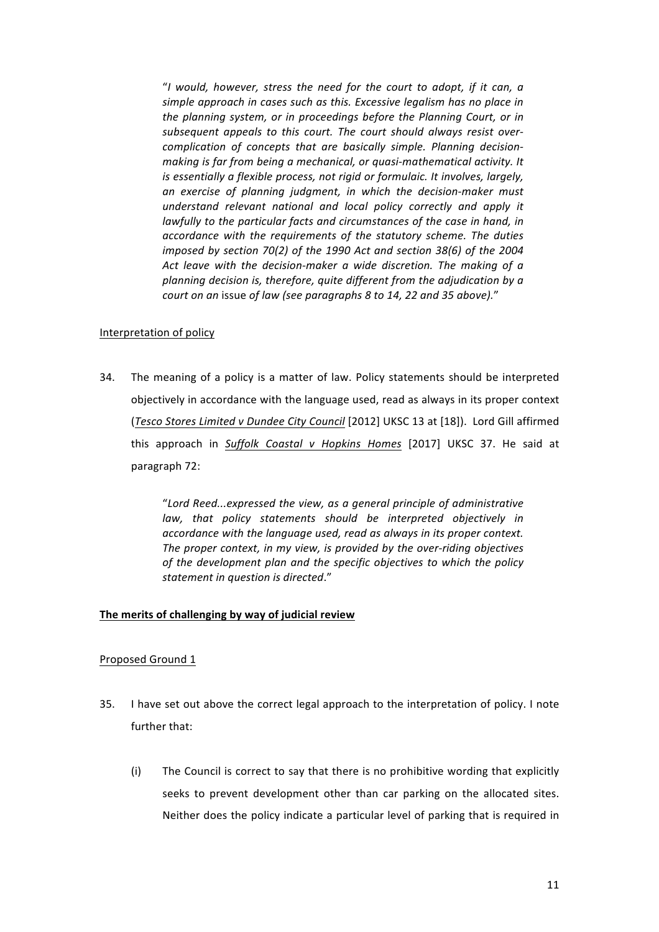"*I would, however, stress the need for the court to adopt, if it can, a*  simple approach in cases such as this. Excessive legalism has no place in *the planning system, or in proceedings before the Planning Court, or in* subsequent appeals to this court. The court should always resist overcomplication of concepts that are basically simple. Planning decision*making is far from being a mechanical, or quasi-mathematical activity. It is* essentially a flexible process, not rigid or formulaic. It involves, largely, *an exercise of planning judgment, in which the decision-maker must understand relevant national and local policy correctly and apply it lawfully* to the particular facts and circumstances of the case in hand, in accordance with the requirements of the statutory scheme. The duties *imposed by section 70(2) of the 1990 Act and section 38(6) of the 2004* Act leave with the decision-maker a wide discretion. The making of a planning decision is, therefore, quite different from the adjudication by a *court on an issue of law (see paragraphs 8 to 14, 22 and 35 above)."* 

## Interpretation of policy

34. The meaning of a policy is a matter of law. Policy statements should be interpreted objectively in accordance with the language used, read as always in its proper context (*Tesco Stores Limited v Dundee City Council* [2012] UKSC 13 at [18]). Lord Gill affirmed this approach in Suffolk Coastal v Hopkins Homes [2017] UKSC 37. He said at paragraph 72:

> "*Lord Reed...expressed the view, as a general principle of administrative law,* that policy statements should be interpreted objectively in accordance with the language used, read as always in its proper context. The proper context, in my view, is provided by the over-riding objectives of the development plan and the specific objectives to which the policy *statement in question is directed*."

# The merits of challenging by way of judicial review

# Proposed Ground 1

- 35. I have set out above the correct legal approach to the interpretation of policy. I note further that:
	- (i) The Council is correct to say that there is no prohibitive wording that explicitly seeks to prevent development other than car parking on the allocated sites. Neither does the policy indicate a particular level of parking that is required in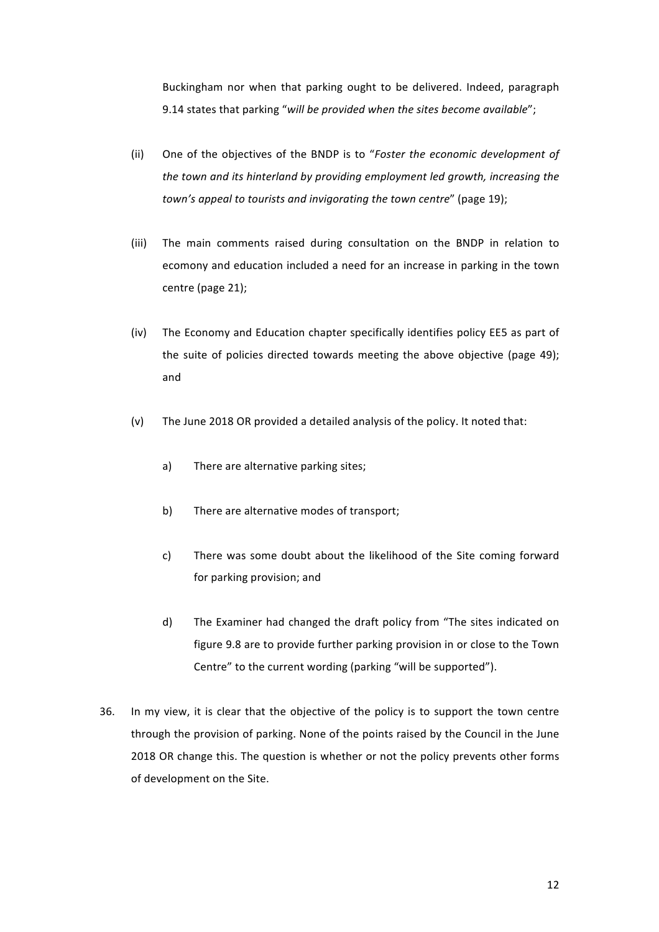Buckingham nor when that parking ought to be delivered. Indeed, paragraph 9.14 states that parking "will be provided when the sites become available";

- (ii) One of the objectives of the BNDP is to "*Foster the economic development of the town and its hinterland by providing employment led growth, increasing the town's appeal to tourists and invigorating the town centre*" (page 19);
- (iii) The main comments raised during consultation on the BNDP in relation to ecomony and education included a need for an increase in parking in the town centre (page 21);
- (iv) The Economy and Education chapter specifically identifies policy EE5 as part of the suite of policies directed towards meeting the above objective (page 49); and
- (v) The June 2018 OR provided a detailed analysis of the policy. It noted that:
	- a) There are alternative parking sites;
	- b) There are alternative modes of transport;
	- c) There was some doubt about the likelihood of the Site coming forward for parking provision; and
	- d) The Examiner had changed the draft policy from "The sites indicated on figure 9.8 are to provide further parking provision in or close to the Town Centre" to the current wording (parking "will be supported").
- 36. In my view, it is clear that the objective of the policy is to support the town centre through the provision of parking. None of the points raised by the Council in the June 2018 OR change this. The question is whether or not the policy prevents other forms of development on the Site.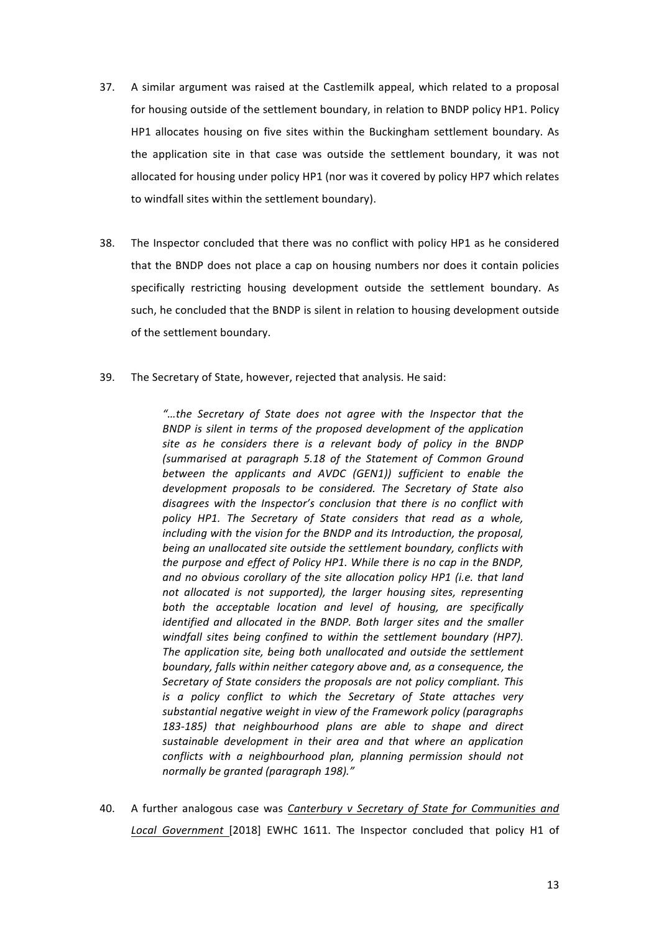- 37. A similar argument was raised at the Castlemilk appeal, which related to a proposal for housing outside of the settlement boundary, in relation to BNDP policy HP1. Policy HP1 allocates housing on five sites within the Buckingham settlement boundary. As the application site in that case was outside the settlement boundary, it was not allocated for housing under policy  $HP1$  (nor was it covered by policy HP7 which relates to windfall sites within the settlement boundary).
- 38. The Inspector concluded that there was no conflict with policy HP1 as he considered that the BNDP does not place a cap on housing numbers nor does it contain policies specifically restricting housing development outside the settlement boundary. As such, he concluded that the BNDP is silent in relation to housing development outside of the settlement boundary.
- 39. The Secretary of State, however, rejected that analysis. He said:

"...the Secretary of State does not agree with the Inspector that the BNDP is silent in terms of the proposed development of the application site as he considers there is a relevant body of policy in the BNDP *(summarised at paragraph 5.18 of the Statement of Common Ground between the applicants and AVDC (GEN1)) sufficient to enable the* development proposals to be considered. The Secretary of State also disagrees with the *Inspector's* conclusion that there is no conflict with *policy* HP1. The Secretary of State considers that read as a whole, including with the vision for the BNDP and its Introduction, the proposal, *being an unallocated site outside the settlement boundary, conflicts with the purpose and effect of Policy HP1. While there is no cap in the BNDP,* and no obvious corollary of the site allocation policy HP1 (i.e. that land *not allocated is not supported), the larger housing sites, representing* both the acceptable location and level of housing, are specifically *identified and allocated in the BNDP. Both larger sites and the smaller* windfall sites being confined to within the settlement boundary (HP7). The application site, being both unallocated and outside the settlement *boundary, falls within neither category above and, as a consequence, the* Secretary of State considers the proposals are not policy compliant. This *is* a policy conflict to which the Secretary of State attaches very substantial negative weight in view of the Framework policy (paragraphs 183-185) that neighbourhood plans are able to shape and direct sustainable development in their area and that where an application *conflicts* with a neighbourhood plan, planning permission should not *normally be granted (paragraph 198)."*

40. A further analogous case was *Canterbury v Secretary of State for Communities and* Local Government [2018] EWHC 1611. The Inspector concluded that policy H1 of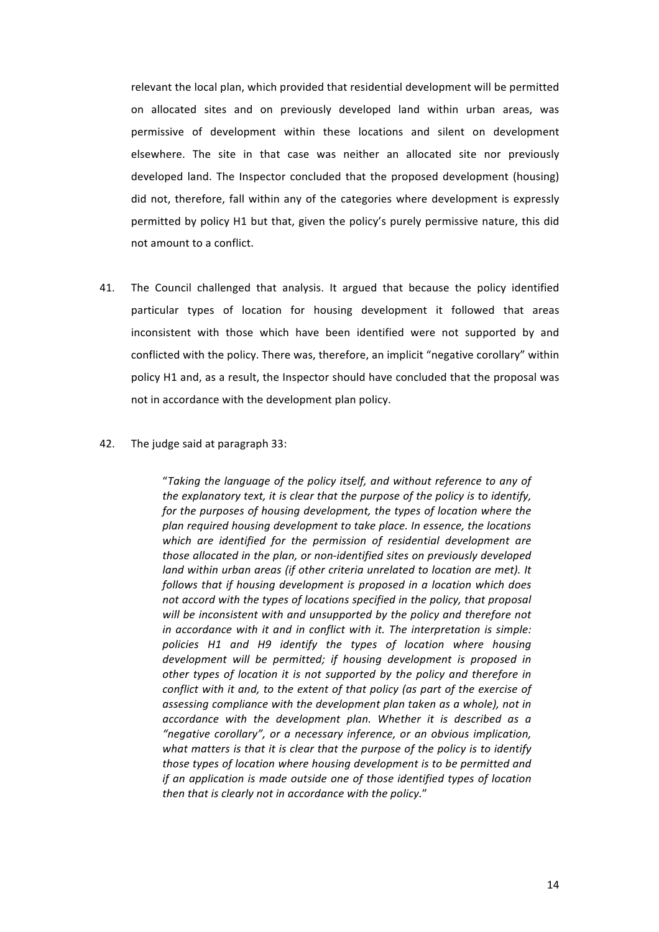relevant the local plan, which provided that residential development will be permitted on allocated sites and on previously developed land within urban areas, was permissive of development within these locations and silent on development elsewhere. The site in that case was neither an allocated site nor previously developed land. The Inspector concluded that the proposed development (housing) did not, therefore, fall within any of the categories where development is expressly permitted by policy H1 but that, given the policy's purely permissive nature, this did not amount to a conflict.

41. The Council challenged that analysis. It argued that because the policy identified particular types of location for housing development it followed that areas inconsistent with those which have been identified were not supported by and conflicted with the policy. There was, therefore, an implicit "negative corollary" within policy H1 and, as a result, the Inspector should have concluded that the proposal was not in accordance with the development plan policy.

#### 42. The judge said at paragraph 33:

"Taking the language of the policy itself, and without reference to any of *the explanatory text, it is clear that the purpose of the policy is to identify, for the purposes of housing development, the types of location where the* plan required housing development to take place. In essence, the locations which are identified for the permission of residential development are those allocated in the plan, or non-identified sites on previously developed *land* within urban areas (if other criteria unrelated to location are met). It follows that if housing development is proposed in a location which does *not accord with the types of locations specified in the policy, that proposal* will be inconsistent with and unsupported by the policy and therefore not *in* accordance with it and in conflict with it. The interpretation is simple: policies H1 and H9 identify the types of location where housing development will be permitted; if housing development is proposed in other types of location it is not supported by the policy and therefore in *conflict with it and, to the extent of that policy (as part of the exercise of* assessing compliance with the development plan taken as a whole), not in accordance with the development plan. Whether it is described as a "negative corollary", or a necessary inference, or an obvious implication, what matters is that it is clear that the purpose of the policy is to identify *those types of location where housing development is to be permitted and if* an application is made outside one of those identified types of location then that is clearly not in accordance with the policy."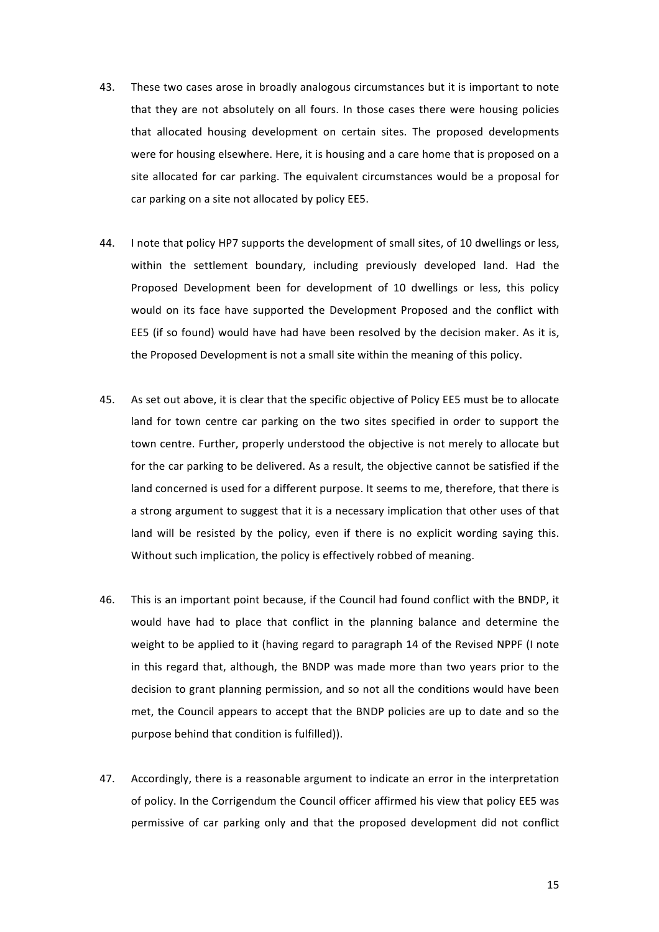- 43. These two cases arose in broadly analogous circumstances but it is important to note that they are not absolutely on all fours. In those cases there were housing policies that allocated housing development on certain sites. The proposed developments were for housing elsewhere. Here, it is housing and a care home that is proposed on a site allocated for car parking. The equivalent circumstances would be a proposal for car parking on a site not allocated by policy EE5.
- 44. I note that policy HP7 supports the development of small sites, of 10 dwellings or less, within the settlement boundary, including previously developed land. Had the Proposed Development been for development of 10 dwellings or less, this policy would on its face have supported the Development Proposed and the conflict with EE5 (if so found) would have had have been resolved by the decision maker. As it is, the Proposed Development is not a small site within the meaning of this policy.
- 45. As set out above, it is clear that the specific objective of Policy EE5 must be to allocate land for town centre car parking on the two sites specified in order to support the town centre. Further, properly understood the objective is not merely to allocate but for the car parking to be delivered. As a result, the objective cannot be satisfied if the land concerned is used for a different purpose. It seems to me, therefore, that there is a strong argument to suggest that it is a necessary implication that other uses of that land will be resisted by the policy, even if there is no explicit wording saying this. Without such implication, the policy is effectively robbed of meaning.
- 46. This is an important point because, if the Council had found conflict with the BNDP, it would have had to place that conflict in the planning balance and determine the weight to be applied to it (having regard to paragraph 14 of the Revised NPPF (I note in this regard that, although, the BNDP was made more than two years prior to the decision to grant planning permission, and so not all the conditions would have been met, the Council appears to accept that the BNDP policies are up to date and so the purpose behind that condition is fulfilled)).
- 47. Accordingly, there is a reasonable argument to indicate an error in the interpretation of policy. In the Corrigendum the Council officer affirmed his view that policy EE5 was permissive of car parking only and that the proposed development did not conflict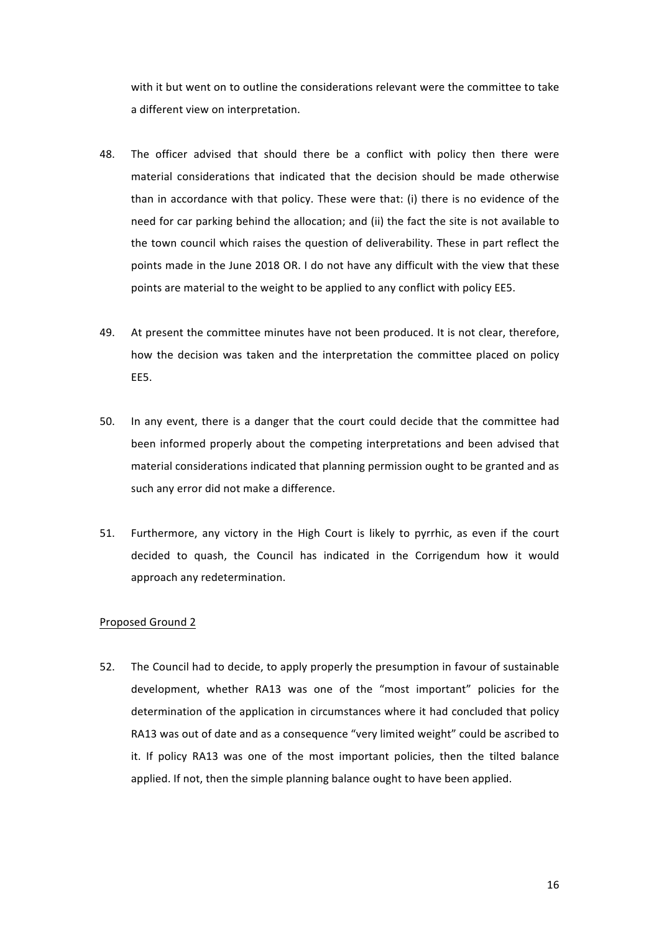with it but went on to outline the considerations relevant were the committee to take a different view on interpretation.

- 48. The officer advised that should there be a conflict with policy then there were material considerations that indicated that the decision should be made otherwise than in accordance with that policy. These were that: (i) there is no evidence of the need for car parking behind the allocation; and (ii) the fact the site is not available to the town council which raises the question of deliverability. These in part reflect the points made in the June 2018 OR. I do not have any difficult with the view that these points are material to the weight to be applied to any conflict with policy EE5.
- 49. At present the committee minutes have not been produced. It is not clear, therefore, how the decision was taken and the interpretation the committee placed on policy EE5.
- 50. In any event, there is a danger that the court could decide that the committee had been informed properly about the competing interpretations and been advised that material considerations indicated that planning permission ought to be granted and as such any error did not make a difference.
- 51. Furthermore, any victory in the High Court is likely to pyrrhic, as even if the court decided to quash, the Council has indicated in the Corrigendum how it would approach any redetermination.

#### Proposed Ground 2

52. The Council had to decide, to apply properly the presumption in favour of sustainable development, whether RA13 was one of the "most important" policies for the determination of the application in circumstances where it had concluded that policy RA13 was out of date and as a consequence "very limited weight" could be ascribed to it. If policy RA13 was one of the most important policies, then the tilted balance applied. If not, then the simple planning balance ought to have been applied.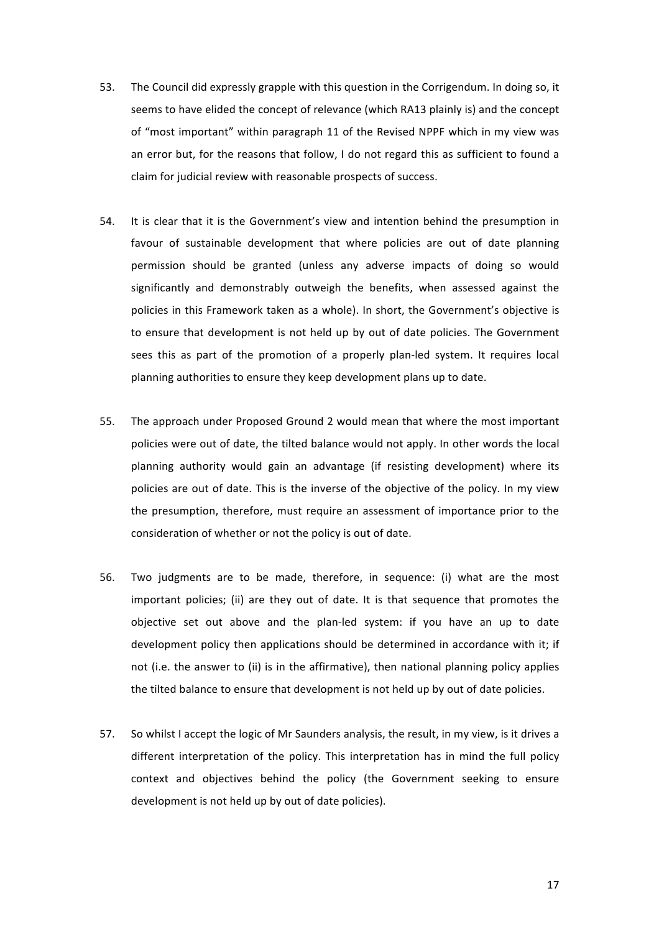- 53. The Council did expressly grapple with this question in the Corrigendum. In doing so, it seems to have elided the concept of relevance (which RA13 plainly is) and the concept of "most important" within paragraph 11 of the Revised NPPF which in my view was an error but, for the reasons that follow, I do not regard this as sufficient to found a claim for judicial review with reasonable prospects of success.
- 54. It is clear that it is the Government's view and intention behind the presumption in favour of sustainable development that where policies are out of date planning permission should be granted (unless any adverse impacts of doing so would significantly and demonstrably outweigh the benefits, when assessed against the policies in this Framework taken as a whole). In short, the Government's objective is to ensure that development is not held up by out of date policies. The Government sees this as part of the promotion of a properly plan-led system. It requires local planning authorities to ensure they keep development plans up to date.
- 55. The approach under Proposed Ground 2 would mean that where the most important policies were out of date, the tilted balance would not apply. In other words the local planning authority would gain an advantage (if resisting development) where its policies are out of date. This is the inverse of the objective of the policy. In my view the presumption, therefore, must require an assessment of importance prior to the consideration of whether or not the policy is out of date.
- 56. Two judgments are to be made, therefore, in sequence: (i) what are the most important policies; (ii) are they out of date. It is that sequence that promotes the objective set out above and the plan-led system: if you have an up to date development policy then applications should be determined in accordance with it; if not (i.e. the answer to (ii) is in the affirmative), then national planning policy applies the tilted balance to ensure that development is not held up by out of date policies.
- 57. So whilst I accept the logic of Mr Saunders analysis, the result, in my view, is it drives a different interpretation of the policy. This interpretation has in mind the full policy context and objectives behind the policy (the Government seeking to ensure development is not held up by out of date policies).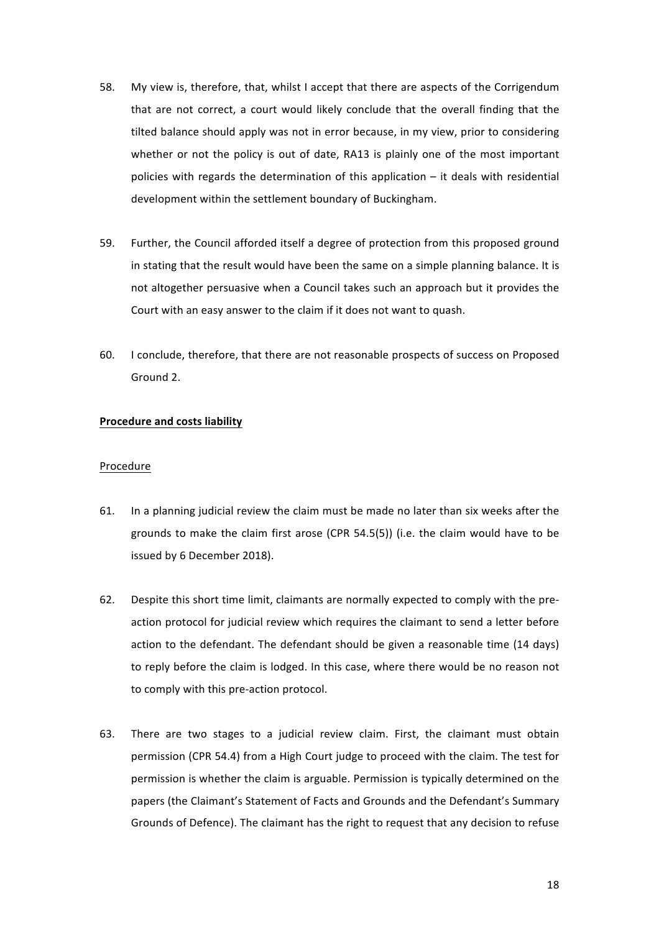- 58. My view is, therefore, that, whilst I accept that there are aspects of the Corrigendum that are not correct, a court would likely conclude that the overall finding that the tilted balance should apply was not in error because, in my view, prior to considering whether or not the policy is out of date, RA13 is plainly one of the most important policies with regards the determination of this application  $-$  it deals with residential development within the settlement boundary of Buckingham.
- 59. Further, the Council afforded itself a degree of protection from this proposed ground in stating that the result would have been the same on a simple planning balance. It is not altogether persuasive when a Council takes such an approach but it provides the Court with an easy answer to the claim if it does not want to quash.
- 60. I conclude, therefore, that there are not reasonable prospects of success on Proposed Ground 2.

# **Procedure and costs liability**

#### Procedure

- 61. In a planning judicial review the claim must be made no later than six weeks after the grounds to make the claim first arose (CPR 54.5(5)) (i.e. the claim would have to be issued by 6 December 2018).
- 62. Despite this short time limit, claimants are normally expected to comply with the preaction protocol for judicial review which requires the claimant to send a letter before action to the defendant. The defendant should be given a reasonable time (14 days) to reply before the claim is lodged. In this case, where there would be no reason not to comply with this pre-action protocol.
- 63. There are two stages to a judicial review claim. First, the claimant must obtain permission (CPR 54.4) from a High Court judge to proceed with the claim. The test for permission is whether the claim is arguable. Permission is typically determined on the papers (the Claimant's Statement of Facts and Grounds and the Defendant's Summary Grounds of Defence). The claimant has the right to request that any decision to refuse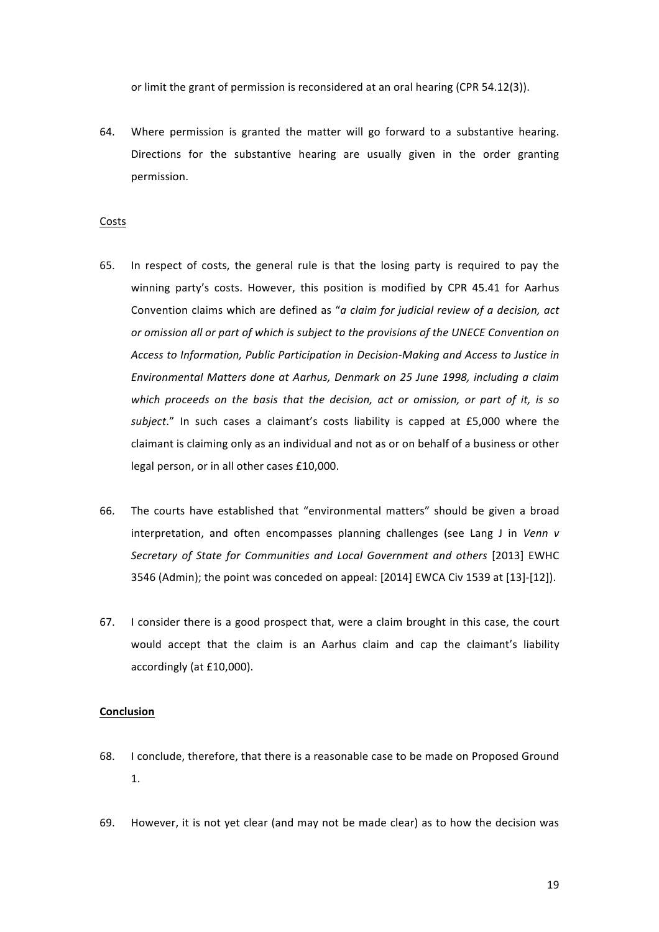or limit the grant of permission is reconsidered at an oral hearing (CPR 54.12(3)).

64. Where permission is granted the matter will go forward to a substantive hearing. Directions for the substantive hearing are usually given in the order granting permission.

#### Costs

- 65. In respect of costs, the general rule is that the losing party is required to pay the winning party's costs. However, this position is modified by CPR 45.41 for Aarhus Convention claims which are defined as "*a claim for judicial review of a decision, act or* omission all or part of which is subject to the provisions of the UNECE Convention on Access to Information, Public Participation in Decision-Making and Access to Justice in *Environmental Matters done at Aarhus, Denmark on 25 June 1998, including a claim*  which proceeds on the basis that the decision, act or omission, or part of it, is so subject." In such cases a claimant's costs liability is capped at £5,000 where the claimant is claiming only as an individual and not as or on behalf of a business or other legal person, or in all other cases £10,000.
- 66. The courts have established that "environmental matters" should be given a broad interpretation, and often encompasses planning challenges (see Lang J in *Venn v* Secretary of State for Communities and Local Government and others [2013] EWHC 3546 (Admin); the point was conceded on appeal:  $[2014]$  EWCA Civ 1539 at  $[13]$ - $[12]$ ).
- 67. I consider there is a good prospect that, were a claim brought in this case, the court would accept that the claim is an Aarhus claim and cap the claimant's liability accordingly (at £10,000).

#### **Conclusion**

- 68. I conclude, therefore, that there is a reasonable case to be made on Proposed Ground 1.
- 69. However, it is not yet clear (and may not be made clear) as to how the decision was